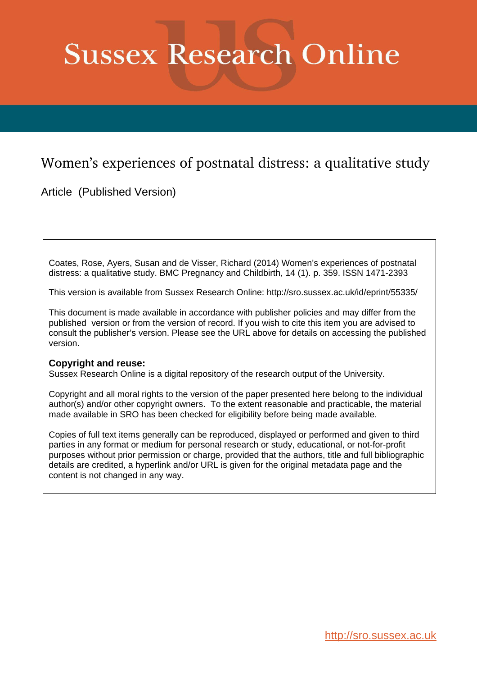# **Sussex Research Online**

## Women's experiences of postnatal distress: a qualitative study

Article (Published Version)

Coates, Rose, Ayers, Susan and de Visser, Richard (2014) Women's experiences of postnatal distress: a qualitative study. BMC Pregnancy and Childbirth, 14 (1). p. 359. ISSN 1471-2393

This version is available from Sussex Research Online: http://sro.sussex.ac.uk/id/eprint/55335/

This document is made available in accordance with publisher policies and may differ from the published version or from the version of record. If you wish to cite this item you are advised to consult the publisher's version. Please see the URL above for details on accessing the published version.

### **Copyright and reuse:**

Sussex Research Online is a digital repository of the research output of the University.

Copyright and all moral rights to the version of the paper presented here belong to the individual author(s) and/or other copyright owners. To the extent reasonable and practicable, the material made available in SRO has been checked for eligibility before being made available.

Copies of full text items generally can be reproduced, displayed or performed and given to third parties in any format or medium for personal research or study, educational, or not-for-profit purposes without prior permission or charge, provided that the authors, title and full bibliographic details are credited, a hyperlink and/or URL is given for the original metadata page and the content is not changed in any way.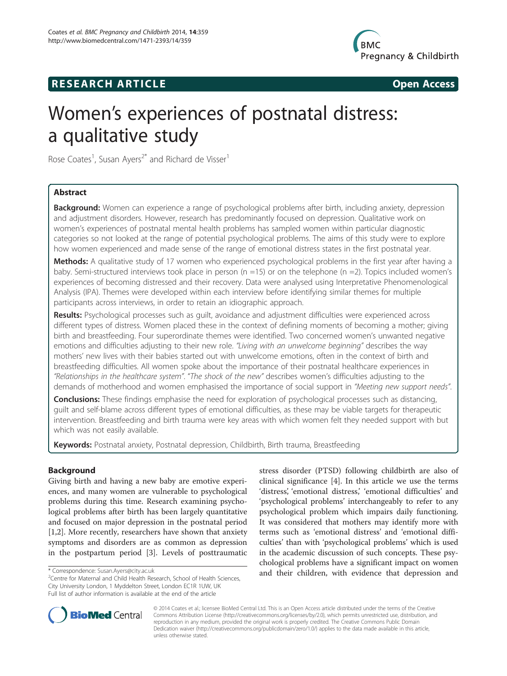

## **RESEARCH ARTICLE Example 2014 CONSIDERING CONSIDERING CONSIDERING CONSIDERING CONSIDERING CONSIDERING CONSIDERING CONSIDERING CONSIDERING CONSIDERING CONSIDERING CONSIDERING CONSIDERING CONSIDERING CONSIDERING CONSIDE**



# Women's experiences of postnatal distress: a qualitative study

Rose Coates<sup>1</sup>, Susan Ayers<sup>2\*</sup> and Richard de Visser<sup>1</sup>

#### Abstract

**Background:** Women can experience a range of psychological problems after birth, including anxiety, depression and adjustment disorders. However, research has predominantly focused on depression. Qualitative work on women's experiences of postnatal mental health problems has sampled women within particular diagnostic categories so not looked at the range of potential psychological problems. The aims of this study were to explore how women experienced and made sense of the range of emotional distress states in the first postnatal year.

Methods: A qualitative study of 17 women who experienced psychological problems in the first year after having a baby. Semi-structured interviews took place in person ( $n = 15$ ) or on the telephone ( $n = 2$ ). Topics included women's experiences of becoming distressed and their recovery. Data were analysed using Interpretative Phenomenological Analysis (IPA). Themes were developed within each interview before identifying similar themes for multiple participants across interviews, in order to retain an idiographic approach.

Results: Psychological processes such as quilt, avoidance and adjustment difficulties were experienced across different types of distress. Women placed these in the context of defining moments of becoming a mother; giving birth and breastfeeding. Four superordinate themes were identified. Two concerned women's unwanted negative emotions and difficulties adjusting to their new role. "Living with an unwelcome beginning" describes the way mothers' new lives with their babies started out with unwelcome emotions, often in the context of birth and breastfeeding difficulties. All women spoke about the importance of their postnatal healthcare experiences in "Relationships in the healthcare system". "The shock of the new" describes women's difficulties adjusting to the demands of motherhood and women emphasised the importance of social support in "Meeting new support needs".

**Conclusions:** These findings emphasise the need for exploration of psychological processes such as distancing, guilt and self-blame across different types of emotional difficulties, as these may be viable targets for therapeutic intervention. Breastfeeding and birth trauma were key areas with which women felt they needed support with but which was not easily available.

Keywords: Postnatal anxiety, Postnatal depression, Childbirth, Birth trauma, Breastfeeding

#### Background

Giving birth and having a new baby are emotive experiences, and many women are vulnerable to psychological problems during this time. Research examining psychological problems after birth has been largely quantitative and focused on major depression in the postnatal period [[1,2\]](#page-13-0). More recently, researchers have shown that anxiety symptoms and disorders are as common as depression in the postpartum period [[3\]](#page-13-0). Levels of posttraumatic

stress disorder (PTSD) following childbirth are also of clinical significance [[4\]](#page-13-0). In this article we use the terms 'distress', 'emotional distress,' 'emotional difficulties' and 'psychological problems' interchangeably to refer to any psychological problem which impairs daily functioning. It was considered that mothers may identify more with terms such as 'emotional distress' and 'emotional difficulties' than with 'psychological problems' which is used in the academic discussion of such concepts. These psychological problems have a significant impact on women \* Correspondence: [Susan.Ayers@city.ac.uk](mailto:Susan.Ayers@city.ac.uk) **and their children, with evidence that depression and** 



© 2014 Coates et al.; licensee BioMed Central Ltd. This is an Open Access article distributed under the terms of the Creative Commons Attribution License [\(http://creativecommons.org/licenses/by/2.0\)](http://creativecommons.org/licenses/by/2.0), which permits unrestricted use, distribution, and reproduction in any medium, provided the original work is properly credited. The Creative Commons Public Domain Dedication waiver [\(http://creativecommons.org/publicdomain/zero/1.0/](http://creativecommons.org/publicdomain/zero/1.0/)) applies to the data made available in this article, unless otherwise stated.

<sup>&</sup>lt;sup>2</sup> Centre for Maternal and Child Health Research, School of Health Sciences, City University London, 1 Myddelton Street, London EC1R 1UW, UK Full list of author information is available at the end of the article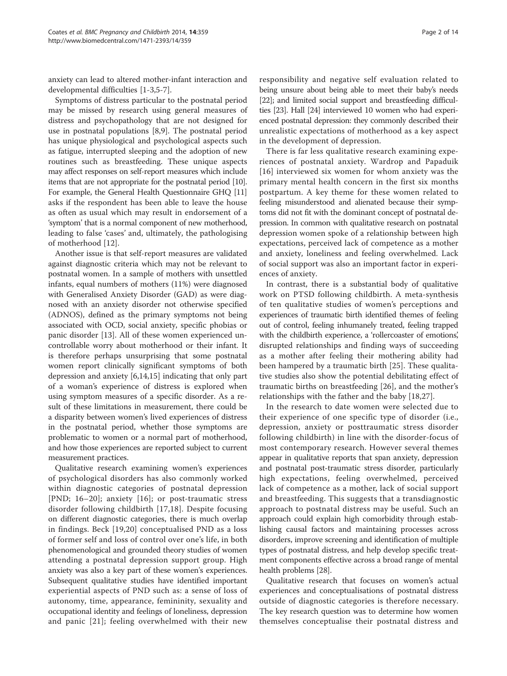anxiety can lead to altered mother-infant interaction and developmental difficulties [[1-3,5](#page-13-0)-[7\]](#page-13-0).

Symptoms of distress particular to the postnatal period may be missed by research using general measures of distress and psychopathology that are not designed for use in postnatal populations [[8,9\]](#page-13-0). The postnatal period has unique physiological and psychological aspects such as fatigue, interrupted sleeping and the adoption of new routines such as breastfeeding. These unique aspects may affect responses on self-report measures which include items that are not appropriate for the postnatal period [\[10](#page-13-0)]. For example, the General Health Questionnaire GHQ [\[11](#page-13-0)] asks if the respondent has been able to leave the house as often as usual which may result in endorsement of a 'symptom' that is a normal component of new motherhood, leading to false 'cases' and, ultimately, the pathologising of motherhood [[12\]](#page-13-0).

Another issue is that self-report measures are validated against diagnostic criteria which may not be relevant to postnatal women. In a sample of mothers with unsettled infants, equal numbers of mothers (11%) were diagnosed with Generalised Anxiety Disorder (GAD) as were diagnosed with an anxiety disorder not otherwise specified (ADNOS), defined as the primary symptoms not being associated with OCD, social anxiety, specific phobias or panic disorder [[13\]](#page-13-0). All of these women experienced uncontrollable worry about motherhood or their infant. It is therefore perhaps unsurprising that some postnatal women report clinically significant symptoms of both depression and anxiety [\[6,14,15](#page-13-0)] indicating that only part of a woman's experience of distress is explored when using symptom measures of a specific disorder. As a result of these limitations in measurement, there could be a disparity between women's lived experiences of distress in the postnatal period, whether those symptoms are problematic to women or a normal part of motherhood, and how those experiences are reported subject to current measurement practices.

Qualitative research examining women's experiences of psychological disorders has also commonly worked within diagnostic categories of postnatal depression [PND; 16–20]; anxiety [\[16](#page-13-0)]; or post-traumatic stress disorder following childbirth [\[17,18](#page-13-0)]. Despite focusing on different diagnostic categories, there is much overlap in findings. Beck [[19](#page-13-0),[20\]](#page-13-0) conceptualised PND as a loss of former self and loss of control over one's life, in both phenomenological and grounded theory studies of women attending a postnatal depression support group. High anxiety was also a key part of these women's experiences. Subsequent qualitative studies have identified important experiential aspects of PND such as: a sense of loss of autonomy, time, appearance, femininity, sexuality and occupational identity and feelings of loneliness, depression and panic [[21\]](#page-13-0); feeling overwhelmed with their new

responsibility and negative self evaluation related to being unsure about being able to meet their baby's needs [[22](#page-13-0)]; and limited social support and breastfeeding difficulties [\[23\]](#page-14-0). Hall [\[24\]](#page-14-0) interviewed 10 women who had experienced postnatal depression: they commonly described their unrealistic expectations of motherhood as a key aspect in the development of depression.

There is far less qualitative research examining experiences of postnatal anxiety. Wardrop and Papaduik [[16](#page-13-0)] interviewed six women for whom anxiety was the primary mental health concern in the first six months postpartum. A key theme for these women related to feeling misunderstood and alienated because their symptoms did not fit with the dominant concept of postnatal depression. In common with qualitative research on postnatal depression women spoke of a relationship between high expectations, perceived lack of competence as a mother and anxiety, loneliness and feeling overwhelmed. Lack of social support was also an important factor in experiences of anxiety.

In contrast, there is a substantial body of qualitative work on PTSD following childbirth. A meta-synthesis of ten qualitative studies of women's perceptions and experiences of traumatic birth identified themes of feeling out of control, feeling inhumanely treated, feeling trapped with the childbirth experience, a 'rollercoaster of emotions', disrupted relationships and finding ways of succeeding as a mother after feeling their mothering ability had been hampered by a traumatic birth [[25\]](#page-14-0). These qualitative studies also show the potential debilitating effect of traumatic births on breastfeeding [[26](#page-14-0)], and the mother's relationships with the father and the baby [\[18](#page-13-0)[,27](#page-14-0)].

In the research to date women were selected due to their experience of one specific type of disorder (i.e., depression, anxiety or posttraumatic stress disorder following childbirth) in line with the disorder-focus of most contemporary research. However several themes appear in qualitative reports that span anxiety, depression and postnatal post-traumatic stress disorder, particularly high expectations, feeling overwhelmed, perceived lack of competence as a mother, lack of social support and breastfeeding. This suggests that a transdiagnostic approach to postnatal distress may be useful. Such an approach could explain high comorbidity through establishing causal factors and maintaining processes across disorders, improve screening and identification of multiple types of postnatal distress, and help develop specific treatment components effective across a broad range of mental health problems [\[28\]](#page-14-0).

Qualitative research that focuses on women's actual experiences and conceptualisations of postnatal distress outside of diagnostic categories is therefore necessary. The key research question was to determine how women themselves conceptualise their postnatal distress and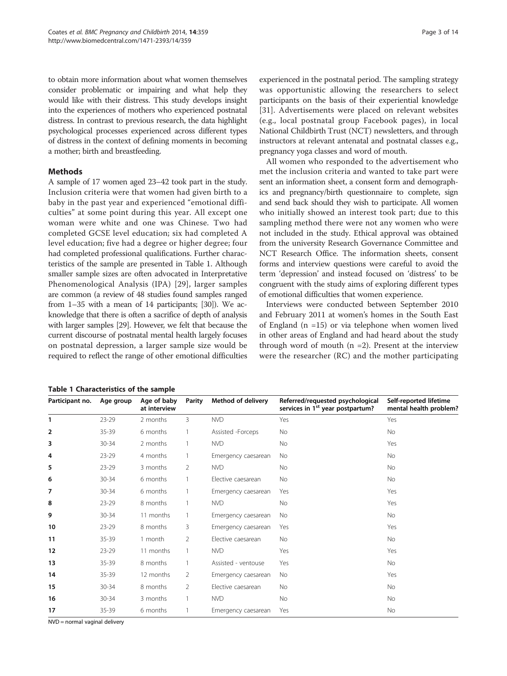to obtain more information about what women themselves consider problematic or impairing and what help they would like with their distress. This study develops insight into the experiences of mothers who experienced postnatal distress. In contrast to previous research, the data highlight psychological processes experienced across different types of distress in the context of defining moments in becoming a mother; birth and breastfeeding.

#### Methods

A sample of 17 women aged 23–42 took part in the study. Inclusion criteria were that women had given birth to a baby in the past year and experienced "emotional difficulties" at some point during this year. All except one woman were white and one was Chinese. Two had completed GCSE level education; six had completed A level education; five had a degree or higher degree; four had completed professional qualifications. Further characteristics of the sample are presented in Table 1. Although smaller sample sizes are often advocated in Interpretative Phenomenological Analysis (IPA) [\[29\]](#page-14-0), larger samples are common (a review of 48 studies found samples ranged from 1–35 with a mean of 14 participants; [\[30\]](#page-14-0)). We acknowledge that there is often a sacrifice of depth of analysis with larger samples [\[29\]](#page-14-0). However, we felt that because the current discourse of postnatal mental health largely focuses on postnatal depression, a larger sample size would be required to reflect the range of other emotional difficulties

experienced in the postnatal period. The sampling strategy was opportunistic allowing the researchers to select participants on the basis of their experiential knowledge [[31\]](#page-14-0). Advertisements were placed on relevant websites (e.g., local postnatal group Facebook pages), in local National Childbirth Trust (NCT) newsletters, and through instructors at relevant antenatal and postnatal classes e.g., pregnancy yoga classes and word of mouth.

All women who responded to the advertisement who met the inclusion criteria and wanted to take part were sent an information sheet, a consent form and demographics and pregnancy/birth questionnaire to complete, sign and send back should they wish to participate. All women who initially showed an interest took part; due to this sampling method there were not any women who were not included in the study. Ethical approval was obtained from the university Research Governance Committee and NCT Research Office. The information sheets, consent forms and interview questions were careful to avoid the term 'depression' and instead focused on 'distress' to be congruent with the study aims of exploring different types of emotional difficulties that women experience.

Interviews were conducted between September 2010 and February 2011 at women's homes in the South East of England (n =15) or via telephone when women lived in other areas of England and had heard about the study through word of mouth  $(n = 2)$ . Present at the interview were the researcher (RC) and the mother participating

| Participant no. | Age group | Age of baby<br>at interview | Parity         | <b>Method of delivery</b> | Referred/requested psychological<br>services in 1 <sup>st</sup> year postpartum? | Self-reported lifetime<br>mental health problem? |
|-----------------|-----------|-----------------------------|----------------|---------------------------|----------------------------------------------------------------------------------|--------------------------------------------------|
| 1               | $23 - 29$ | 2 months                    | 3              | <b>NVD</b>                | Yes                                                                              | Yes                                              |
| $\overline{2}$  | 35-39     | 6 months                    |                | Assisted -Forceps         | <b>No</b>                                                                        | <b>No</b>                                        |
| 3               | 30-34     | 2 months                    |                | <b>NVD</b>                | No                                                                               | Yes                                              |
| 4               | $23 - 29$ | 4 months                    |                | Emergency caesarean       | No                                                                               | No                                               |
| 5               | $23 - 29$ | 3 months                    | $\overline{2}$ | <b>NVD</b>                | <b>No</b>                                                                        | No                                               |
| 6               | 30-34     | 6 months                    |                | Elective caesarean        | <b>No</b>                                                                        | <b>No</b>                                        |
| 7               | $30 - 34$ | 6 months                    |                | Emergency caesarean       | Yes                                                                              | Yes                                              |
| 8               | $23 - 29$ | 8 months                    |                | <b>NVD</b>                | No                                                                               | Yes                                              |
| 9               | 30-34     | 11 months                   |                | Emergency caesarean       | <b>No</b>                                                                        | <b>No</b>                                        |
| 10              | $23 - 29$ | 8 months                    | 3              | Emergency caesarean       | Yes                                                                              | Yes                                              |
| 11              | 35-39     | 1 month                     | 2              | Elective caesarean        | <b>No</b>                                                                        | <b>No</b>                                        |
| 12              | $23 - 29$ | 11 months                   |                | <b>NVD</b>                | Yes                                                                              | Yes                                              |
| 13              | 35-39     | 8 months                    |                | Assisted - ventouse       | Yes                                                                              | <b>No</b>                                        |
| 14              | 35-39     | 12 months                   | 2              | Emergency caesarean       | No                                                                               | Yes                                              |
| 15              | $30 - 34$ | 8 months                    | 2              | Elective caesarean        | No                                                                               | <b>No</b>                                        |
| 16              | $30 - 34$ | 3 months                    |                | <b>NVD</b>                | No                                                                               | <b>No</b>                                        |
| 17              | 35-39     | 6 months                    |                | Emergency caesarean       | Yes                                                                              | No                                               |

Table 1 Characteristics of the sample

NVD = normal vaginal delivery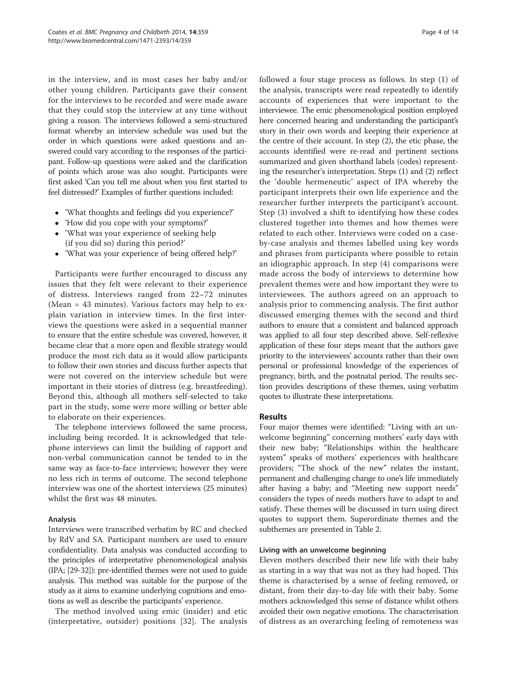in the interview, and in most cases her baby and/or other young children. Participants gave their consent for the interviews to be recorded and were made aware that they could stop the interview at any time without giving a reason. The interviews followed a semi-structured format whereby an interview schedule was used but the order in which questions were asked questions and answered could vary according to the responses of the participant. Follow-up questions were asked and the clarification of points which arose was also sought. Participants were first asked 'Can you tell me about when you first started to feel distressed?' Examples of further questions included:

- 'What thoughts and feelings did you experience?'
- 'How did you cope with your symptoms?'
- 'What was your experience of seeking help (if you did so) during this period?'
- 'What was your experience of being offered help?'

Participants were further encouraged to discuss any issues that they felt were relevant to their experience of distress. Interviews ranged from 22–72 minutes (Mean = 43 minutes). Various factors may help to explain variation in interview times. In the first interviews the questions were asked in a sequential manner to ensure that the entire schedule was covered, however, it became clear that a more open and flexible strategy would produce the most rich data as it would allow participants to follow their own stories and discuss further aspects that were not covered on the interview schedule but were important in their stories of distress (e.g. breastfeeding). Beyond this, although all mothers self-selected to take part in the study, some were more willing or better able to elaborate on their experiences.

The telephone interviews followed the same process, including being recorded. It is acknowledged that telephone interviews can limit the building of rapport and non-verbal communication cannot be tended to in the same way as face-to-face interviews; however they were no less rich in terms of outcome. The second telephone interview was one of the shortest interviews (25 minutes) whilst the first was 48 minutes.

#### Analysis

Interviews were transcribed verbatim by RC and checked by RdV and SA. Participant numbers are used to ensure confidentiality. Data analysis was conducted according to the principles of interpretative phenomenological analysis (IPA; [\[29](#page-14-0)-[32](#page-14-0)]): pre-identified themes were not used to guide analysis. This method was suitable for the purpose of the study as it aims to examine underlying cognitions and emotions as well as describe the participants' experience.

The method involved using emic (insider) and etic (interpretative, outsider) positions [[32](#page-14-0)]. The analysis

followed a four stage process as follows. In step (1) of the analysis, transcripts were read repeatedly to identify accounts of experiences that were important to the interviewee. The emic phenomenological position employed here concerned hearing and understanding the participant's story in their own words and keeping their experience at the centre of their account. In step (2), the etic phase, the accounts identified were re-read and pertinent sections summarized and given shorthand labels (codes) representing the researcher's interpretation. Steps (1) and (2) reflect the 'double hermeneutic' aspect of IPA whereby the participant interprets their own life experience and the researcher further interprets the participant's account. Step (3) involved a shift to identifying how these codes clustered together into themes and how themes were related to each other. Interviews were coded on a caseby-case analysis and themes labelled using key words and phrases from participants where possible to retain an idiographic approach. In step (4) comparisons were made across the body of interviews to determine how prevalent themes were and how important they were to interviewees. The authors agreed on an approach to analysis prior to commencing analysis. The first author discussed emerging themes with the second and third authors to ensure that a consistent and balanced approach was applied to all four step described above. Self-reflexive application of these four steps meant that the authors gave priority to the interviewees' accounts rather than their own personal or professional knowledge of the experiences of pregnancy, birth, and the postnatal period. The results section provides descriptions of these themes, using verbatim quotes to illustrate these interpretations.

#### Results

Four major themes were identified: "Living with an unwelcome beginning" concerning mothers' early days with their new baby; "Relationships within the healthcare system" speaks of mothers' experiences with healthcare providers; "The shock of the new" relates the instant, permanent and challenging change to one's life immediately after having a baby; and "Meeting new support needs" considers the types of needs mothers have to adapt to and satisfy. These themes will be discussed in turn using direct quotes to support them. Superordinate themes and the subthemes are presented in Table [2](#page-5-0).

#### Living with an unwelcome beginning

Eleven mothers described their new life with their baby as starting in a way that was not as they had hoped. This theme is characterised by a sense of feeling removed, or distant, from their day-to-day life with their baby. Some mothers acknowledged this sense of distance whilst others avoided their own negative emotions. The characterisation of distress as an overarching feeling of remoteness was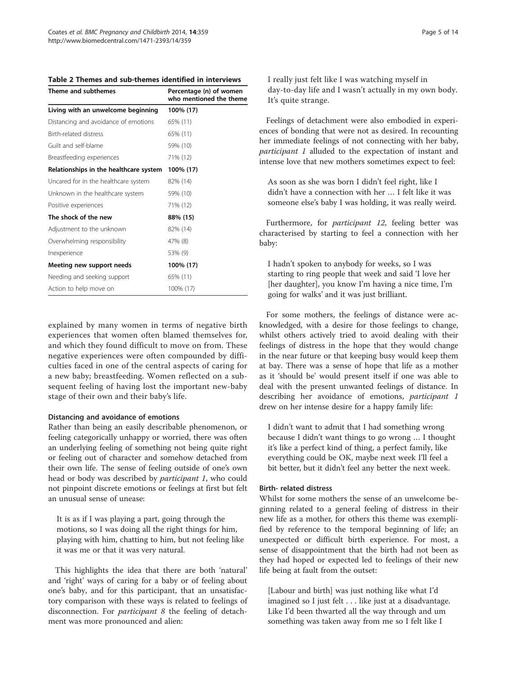<span id="page-5-0"></span>

| Theme and subthemes                    | Percentage (n) of women<br>who mentioned the theme |
|----------------------------------------|----------------------------------------------------|
| Living with an unwelcome beginning     | 100% (17)                                          |
| Distancing and avoidance of emotions   | 65% (11)                                           |
| Birth-related distress                 | 65% (11)                                           |
| Guilt and self-blame                   | 59% (10)                                           |
| Breastfeeding experiences              | 71% (12)                                           |
| Relationships in the healthcare system | 100% (17)                                          |
| Uncared for in the healthcare system   | 82% (14)                                           |
| Unknown in the healthcare system       | 59% (10)                                           |
| Positive experiences                   | 71% (12)                                           |
| The shock of the new                   | 88% (15)                                           |
| Adjustment to the unknown              | 82% (14)                                           |
| Overwhelming responsibility            | 47% (8)                                            |
| Inexperience                           | 53% (9)                                            |
| Meeting new support needs              | 100% (17)                                          |
| Needing and seeking support            | 65% (11)                                           |
| Action to help move on                 | 100% (17)                                          |

explained by many women in terms of negative birth experiences that women often blamed themselves for, and which they found difficult to move on from. These negative experiences were often compounded by difficulties faced in one of the central aspects of caring for a new baby; breastfeeding. Women reflected on a subsequent feeling of having lost the important new-baby stage of their own and their baby's life.

#### Distancing and avoidance of emotions

Rather than being an easily describable phenomenon, or feeling categorically unhappy or worried, there was often an underlying feeling of something not being quite right or feeling out of character and somehow detached from their own life. The sense of feeling outside of one's own head or body was described by participant 1, who could not pinpoint discrete emotions or feelings at first but felt an unusual sense of unease:

It is as if I was playing a part, going through the motions, so I was doing all the right things for him, playing with him, chatting to him, but not feeling like it was me or that it was very natural.

This highlights the idea that there are both 'natural' and 'right' ways of caring for a baby or of feeling about one's baby, and for this participant, that an unsatisfactory comparison with these ways is related to feelings of disconnection. For *participant 8* the feeling of detachment was more pronounced and alien:

I really just felt like I was watching myself in day-to-day life and I wasn't actually in my own body. It's quite strange.

Feelings of detachment were also embodied in experiences of bonding that were not as desired. In recounting her immediate feelings of not connecting with her baby, participant 1 alluded to the expectation of instant and intense love that new mothers sometimes expect to feel:

As soon as she was born I didn't feel right, like I didn't have a connection with her … I felt like it was someone else's baby I was holding, it was really weird.

Furthermore, for participant 12, feeling better was characterised by starting to feel a connection with her baby:

I hadn't spoken to anybody for weeks, so I was starting to ring people that week and said 'I love her [her daughter], you know I'm having a nice time, I'm going for walks' and it was just brilliant.

For some mothers, the feelings of distance were acknowledged, with a desire for those feelings to change, whilst others actively tried to avoid dealing with their feelings of distress in the hope that they would change in the near future or that keeping busy would keep them at bay. There was a sense of hope that life as a mother as it 'should be' would present itself if one was able to deal with the present unwanted feelings of distance. In describing her avoidance of emotions, participant 1 drew on her intense desire for a happy family life:

I didn't want to admit that I had something wrong because I didn't want things to go wrong … I thought it's like a perfect kind of thing, a perfect family, like everything could be OK, maybe next week I'll feel a bit better, but it didn't feel any better the next week.

#### Birth- related distress

Whilst for some mothers the sense of an unwelcome beginning related to a general feeling of distress in their new life as a mother, for others this theme was exemplified by reference to the temporal beginning of life; an unexpected or difficult birth experience. For most, a sense of disappointment that the birth had not been as they had hoped or expected led to feelings of their new life being at fault from the outset:

[Labour and birth] was just nothing like what I'd imagined so I just felt . . . like just at a disadvantage. Like I'd been thwarted all the way through and um something was taken away from me so I felt like I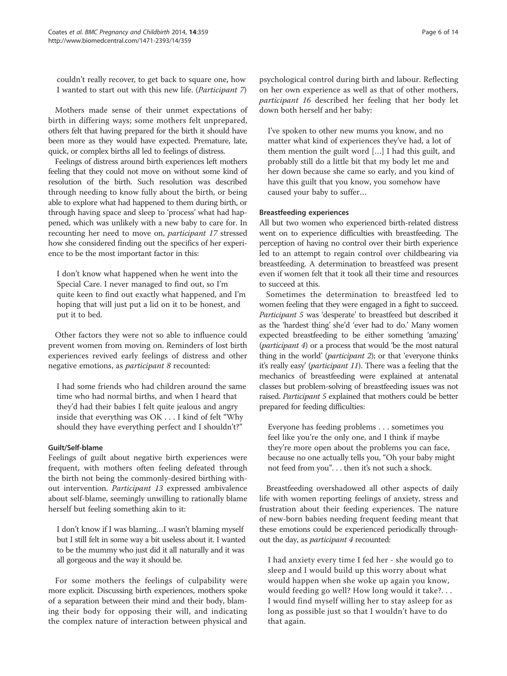couldn't really recover, to get back to square one, how I wanted to start out with this new life. (Participant 7)

Mothers made sense of their unmet expectations of birth in differing ways; some mothers felt unprepared, others felt that having prepared for the birth it should have been more as they would have expected. Premature, late, quick, or complex births all led to feelings of distress.

Feelings of distress around birth experiences left mothers feeling that they could not move on without some kind of resolution of the birth. Such resolution was described through needing to know fully about the birth, or being able to explore what had happened to them during birth, or through having space and sleep to 'process' what had happened, which was unlikely with a new baby to care for. In recounting her need to move on, participant 17 stressed how she considered finding out the specifics of her experience to be the most important factor in this:

I don't know what happened when he went into the Special Care. I never managed to find out, so I'm quite keen to find out exactly what happened, and I'm hoping that will just put a lid on it to be honest, and put it to bed.

Other factors they were not so able to influence could prevent women from moving on. Reminders of lost birth experiences revived early feelings of distress and other negative emotions, as participant 8 recounted:

I had some friends who had children around the same time who had normal births, and when I heard that they'd had their babies I felt quite jealous and angry inside that everything was OK . . . I kind of felt "Why should they have everything perfect and I shouldn't?"

#### Guilt/Self-blame

Feelings of guilt about negative birth experiences were frequent, with mothers often feeling defeated through the birth not being the commonly-desired birthing without intervention. Participant 13 expressed ambivalence about self-blame, seemingly unwilling to rationally blame herself but feeling something akin to it:

I don't know if I was blaming…I wasn't blaming myself but I still felt in some way a bit useless about it. I wanted to be the mummy who just did it all naturally and it was all gorgeous and the way it should be.

For some mothers the feelings of culpability were more explicit. Discussing birth experiences, mothers spoke of a separation between their mind and their body, blaming their body for opposing their will, and indicating the complex nature of interaction between physical and

psychological control during birth and labour. Reflecting on her own experience as well as that of other mothers, participant 16 described her feeling that her body let down both herself and her baby:

I've spoken to other new mums you know, and no matter what kind of experiences they've had, a lot of them mention the guilt word […] I had this guilt, and probably still do a little bit that my body let me and her down because she came so early, and you kind of have this guilt that you know, you somehow have caused your baby to suffer…

#### Breastfeeding experiences

All but two women who experienced birth-related distress went on to experience difficulties with breastfeeding. The perception of having no control over their birth experience led to an attempt to regain control over childbearing via breastfeeding. A determination to breastfeed was present even if women felt that it took all their time and resources to succeed at this.

Sometimes the determination to breastfeed led to women feeling that they were engaged in a fight to succeed. Participant 5 was 'desperate' to breastfeed but described it as the 'hardest thing' she'd 'ever had to do.' Many women expected breastfeeding to be either something 'amazing' (participant 4) or a process that would 'be the most natural thing in the world' (participant 2); or that 'everyone thinks it's really easy' (participant 11). There was a feeling that the mechanics of breastfeeding were explained at antenatal classes but problem-solving of breastfeeding issues was not raised. Participant 5 explained that mothers could be better prepared for feeding difficulties:

Everyone has feeding problems . . . sometimes you feel like you're the only one, and I think if maybe they're more open about the problems you can face, because no one actually tells you, "Oh your baby might not feed from you". . . then it's not such a shock.

Breastfeeding overshadowed all other aspects of daily life with women reporting feelings of anxiety, stress and frustration about their feeding experiences. The nature of new-born babies needing frequent feeding meant that these emotions could be experienced periodically throughout the day, as *participant 4* recounted:

I had anxiety every time I fed her - she would go to sleep and I would build up this worry about what would happen when she woke up again you know, would feeding go well? How long would it take?. . . I would find myself willing her to stay asleep for as long as possible just so that I wouldn't have to do that again.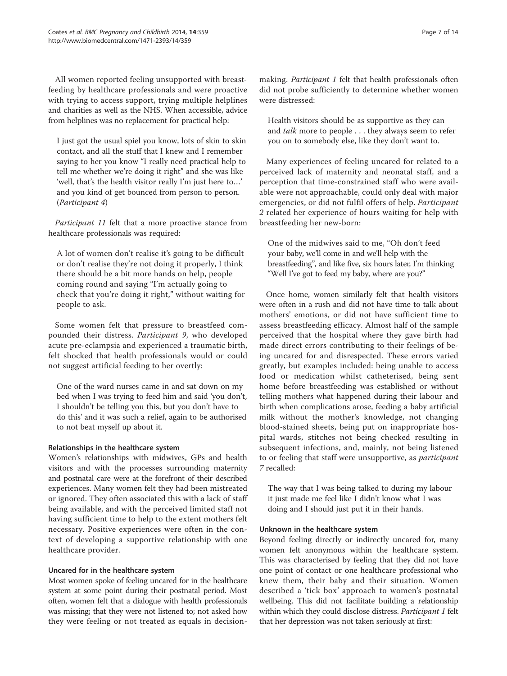All women reported feeling unsupported with breastfeeding by healthcare professionals and were proactive with trying to access support, trying multiple helplines and charities as well as the NHS. When accessible, advice from helplines was no replacement for practical help:

I just got the usual spiel you know, lots of skin to skin contact, and all the stuff that I knew and I remember saying to her you know "I really need practical help to tell me whether we're doing it right" and she was like 'well, that's the health visitor really I'm just here to…' and you kind of get bounced from person to person. (Participant 4)

Participant 11 felt that a more proactive stance from healthcare professionals was required:

A lot of women don't realise it's going to be difficult or don't realise they're not doing it properly, I think there should be a bit more hands on help, people coming round and saying "I'm actually going to check that you're doing it right," without waiting for people to ask.

Some women felt that pressure to breastfeed compounded their distress. Participant 9, who developed acute pre-eclampsia and experienced a traumatic birth, felt shocked that health professionals would or could not suggest artificial feeding to her overtly:

One of the ward nurses came in and sat down on my bed when I was trying to feed him and said 'you don't, I shouldn't be telling you this, but you don't have to do this' and it was such a relief, again to be authorised to not beat myself up about it.

#### Relationships in the healthcare system

Women's relationships with midwives, GPs and health visitors and with the processes surrounding maternity and postnatal care were at the forefront of their described experiences. Many women felt they had been mistreated or ignored. They often associated this with a lack of staff being available, and with the perceived limited staff not having sufficient time to help to the extent mothers felt necessary. Positive experiences were often in the context of developing a supportive relationship with one healthcare provider.

#### Uncared for in the healthcare system

Most women spoke of feeling uncared for in the healthcare system at some point during their postnatal period. Most often, women felt that a dialogue with health professionals was missing; that they were not listened to; not asked how they were feeling or not treated as equals in decisionmaking. Participant 1 felt that health professionals often did not probe sufficiently to determine whether women were distressed:

Health visitors should be as supportive as they can and *talk* more to people . . . they always seem to refer you on to somebody else, like they don't want to.

Many experiences of feeling uncared for related to a perceived lack of maternity and neonatal staff, and a perception that time-constrained staff who were available were not approachable, could only deal with major emergencies, or did not fulfil offers of help. Participant 2 related her experience of hours waiting for help with breastfeeding her new-born:

One of the midwives said to me, "Oh don't feed your baby, we'll come in and we'll help with the breastfeeding", and like five, six hours later, I'm thinking "Well I've got to feed my baby, where are you?"

Once home, women similarly felt that health visitors were often in a rush and did not have time to talk about mothers' emotions, or did not have sufficient time to assess breastfeeding efficacy. Almost half of the sample perceived that the hospital where they gave birth had made direct errors contributing to their feelings of being uncared for and disrespected. These errors varied greatly, but examples included: being unable to access food or medication whilst catheterised, being sent home before breastfeeding was established or without telling mothers what happened during their labour and birth when complications arose, feeding a baby artificial milk without the mother's knowledge, not changing blood-stained sheets, being put on inappropriate hospital wards, stitches not being checked resulting in subsequent infections, and, mainly, not being listened to or feeling that staff were unsupportive, as participant 7 recalled:

The way that I was being talked to during my labour it just made me feel like I didn't know what I was doing and I should just put it in their hands.

#### Unknown in the healthcare system

Beyond feeling directly or indirectly uncared for, many women felt anonymous within the healthcare system. This was characterised by feeling that they did not have one point of contact or one healthcare professional who knew them, their baby and their situation. Women described a 'tick box' approach to women's postnatal wellbeing. This did not facilitate building a relationship within which they could disclose distress. Participant 1 felt that her depression was not taken seriously at first: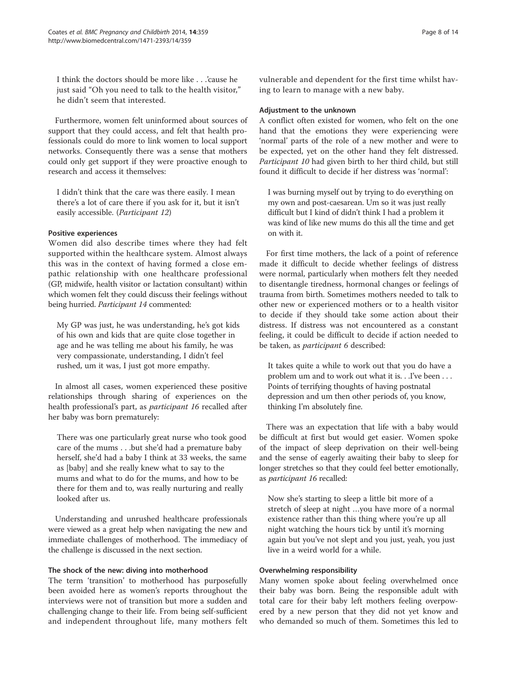I think the doctors should be more like . . .'cause he just said "Oh you need to talk to the health visitor," he didn't seem that interested.

Furthermore, women felt uninformed about sources of support that they could access, and felt that health professionals could do more to link women to local support networks. Consequently there was a sense that mothers could only get support if they were proactive enough to research and access it themselves:

I didn't think that the care was there easily. I mean there's a lot of care there if you ask for it, but it isn't easily accessible. (Participant 12)

#### Positive experiences

Women did also describe times where they had felt supported within the healthcare system. Almost always this was in the context of having formed a close empathic relationship with one healthcare professional (GP, midwife, health visitor or lactation consultant) within which women felt they could discuss their feelings without being hurried. Participant 14 commented:

My GP was just, he was understanding, he's got kids of his own and kids that are quite close together in age and he was telling me about his family, he was very compassionate, understanding, I didn't feel rushed, um it was, I just got more empathy.

In almost all cases, women experienced these positive relationships through sharing of experiences on the health professional's part, as participant 16 recalled after her baby was born prematurely:

There was one particularly great nurse who took good care of the mums . . .but she'd had a premature baby herself, she'd had a baby I think at 33 weeks, the same as [baby] and she really knew what to say to the mums and what to do for the mums, and how to be there for them and to, was really nurturing and really looked after us.

Understanding and unrushed healthcare professionals were viewed as a great help when navigating the new and immediate challenges of motherhood. The immediacy of the challenge is discussed in the next section.

#### The shock of the new: diving into motherhood

The term 'transition' to motherhood has purposefully been avoided here as women's reports throughout the interviews were not of transition but more a sudden and challenging change to their life. From being self-sufficient and independent throughout life, many mothers felt vulnerable and dependent for the first time whilst having to learn to manage with a new baby.

#### Adjustment to the unknown

A conflict often existed for women, who felt on the one hand that the emotions they were experiencing were 'normal' parts of the role of a new mother and were to be expected, yet on the other hand they felt distressed. Participant 10 had given birth to her third child, but still found it difficult to decide if her distress was 'normal':

I was burning myself out by trying to do everything on my own and post-caesarean. Um so it was just really difficult but I kind of didn't think I had a problem it was kind of like new mums do this all the time and get on with it.

For first time mothers, the lack of a point of reference made it difficult to decide whether feelings of distress were normal, particularly when mothers felt they needed to disentangle tiredness, hormonal changes or feelings of trauma from birth. Sometimes mothers needed to talk to other new or experienced mothers or to a health visitor to decide if they should take some action about their distress. If distress was not encountered as a constant feeling, it could be difficult to decide if action needed to be taken, as *participant* 6 described:

It takes quite a while to work out that you do have a problem um and to work out what it is. . .I've been . . . Points of terrifying thoughts of having postnatal depression and um then other periods of, you know, thinking I'm absolutely fine.

There was an expectation that life with a baby would be difficult at first but would get easier. Women spoke of the impact of sleep deprivation on their well-being and the sense of eagerly awaiting their baby to sleep for longer stretches so that they could feel better emotionally, as participant 16 recalled:

Now she's starting to sleep a little bit more of a stretch of sleep at night …you have more of a normal existence rather than this thing where you're up all night watching the hours tick by until it's morning again but you've not slept and you just, yeah, you just live in a weird world for a while.

#### Overwhelming responsibility

Many women spoke about feeling overwhelmed once their baby was born. Being the responsible adult with total care for their baby left mothers feeling overpowered by a new person that they did not yet know and who demanded so much of them. Sometimes this led to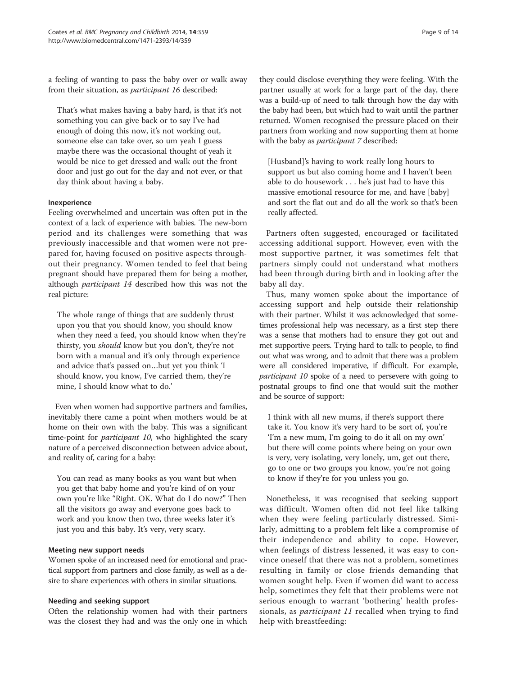a feeling of wanting to pass the baby over or walk away from their situation, as participant 16 described:

That's what makes having a baby hard, is that it's not something you can give back or to say I've had enough of doing this now, it's not working out, someone else can take over, so um yeah I guess maybe there was the occasional thought of yeah it would be nice to get dressed and walk out the front door and just go out for the day and not ever, or that day think about having a baby.

#### Inexperience

Feeling overwhelmed and uncertain was often put in the context of a lack of experience with babies. The new-born period and its challenges were something that was previously inaccessible and that women were not prepared for, having focused on positive aspects throughout their pregnancy. Women tended to feel that being pregnant should have prepared them for being a mother, although participant 14 described how this was not the real picture:

The whole range of things that are suddenly thrust upon you that you should know, you should know when they need a feed, you should know when they're thirsty, you should know but you don't, they're not born with a manual and it's only through experience and advice that's passed on…but yet you think 'I should know, you know, I've carried them, they're mine, I should know what to do.'

Even when women had supportive partners and families, inevitably there came a point when mothers would be at home on their own with the baby. This was a significant time-point for *participant 10*, who highlighted the scary nature of a perceived disconnection between advice about, and reality of, caring for a baby:

You can read as many books as you want but when you get that baby home and you're kind of on your own you're like "Right. OK. What do I do now?" Then all the visitors go away and everyone goes back to work and you know then two, three weeks later it's just you and this baby. It's very, very scary.

#### Meeting new support needs

Women spoke of an increased need for emotional and practical support from partners and close family, as well as a desire to share experiences with others in similar situations.

#### Needing and seeking support

Often the relationship women had with their partners was the closest they had and was the only one in which

they could disclose everything they were feeling. With the partner usually at work for a large part of the day, there was a build-up of need to talk through how the day with the baby had been, but which had to wait until the partner returned. Women recognised the pressure placed on their partners from working and now supporting them at home with the baby as *participant* 7 described:

[Husband]'s having to work really long hours to support us but also coming home and I haven't been able to do housework . . . he's just had to have this massive emotional resource for me, and have [baby] and sort the flat out and do all the work so that's been really affected.

Partners often suggested, encouraged or facilitated accessing additional support. However, even with the most supportive partner, it was sometimes felt that partners simply could not understand what mothers had been through during birth and in looking after the baby all day.

Thus, many women spoke about the importance of accessing support and help outside their relationship with their partner. Whilst it was acknowledged that sometimes professional help was necessary, as a first step there was a sense that mothers had to ensure they got out and met supportive peers. Trying hard to talk to people, to find out what was wrong, and to admit that there was a problem were all considered imperative, if difficult. For example, participant 10 spoke of a need to persevere with going to postnatal groups to find one that would suit the mother and be source of support:

I think with all new mums, if there's support there take it. You know it's very hard to be sort of, you're 'I'm a new mum, I'm going to do it all on my own' but there will come points where being on your own is very, very isolating, very lonely, um, get out there, go to one or two groups you know, you're not going to know if they're for you unless you go.

Nonetheless, it was recognised that seeking support was difficult. Women often did not feel like talking when they were feeling particularly distressed. Similarly, admitting to a problem felt like a compromise of their independence and ability to cope. However, when feelings of distress lessened, it was easy to convince oneself that there was not a problem, sometimes resulting in family or close friends demanding that women sought help. Even if women did want to access help, sometimes they felt that their problems were not serious enough to warrant 'bothering' health professionals, as *participant 11* recalled when trying to find help with breastfeeding: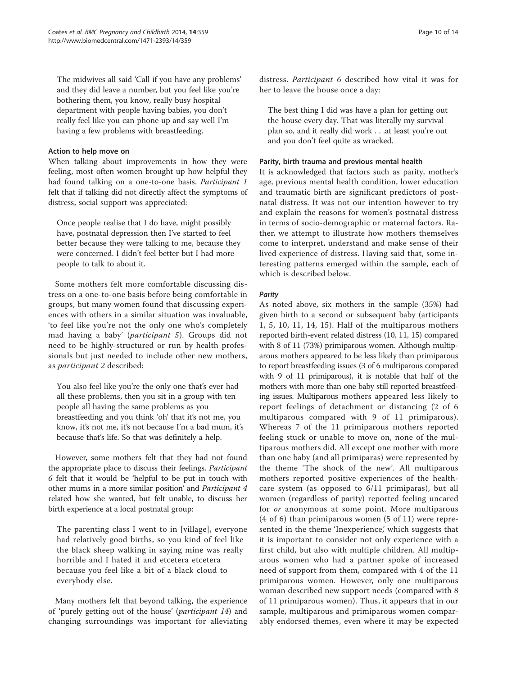The midwives all said 'Call if you have any problems' and they did leave a number, but you feel like you're bothering them, you know, really busy hospital department with people having babies, you don't really feel like you can phone up and say well I'm having a few problems with breastfeeding.

#### Action to help move on

When talking about improvements in how they were feeling, most often women brought up how helpful they had found talking on a one-to-one basis. Participant 1 felt that if talking did not directly affect the symptoms of distress, social support was appreciated:

Once people realise that I do have, might possibly have, postnatal depression then I've started to feel better because they were talking to me, because they were concerned. I didn't feel better but I had more people to talk to about it.

Some mothers felt more comfortable discussing distress on a one-to-one basis before being comfortable in groups, but many women found that discussing experiences with others in a similar situation was invaluable, 'to feel like you're not the only one who's completely mad having a baby' (participant 5). Groups did not need to be highly-structured or run by health professionals but just needed to include other new mothers, as participant 2 described:

You also feel like you're the only one that's ever had all these problems, then you sit in a group with ten people all having the same problems as you breastfeeding and you think 'oh' that it's not me, you know, it's not me, it's not because I'm a bad mum, it's because that's life. So that was definitely a help.

However, some mothers felt that they had not found the appropriate place to discuss their feelings. Participant 6 felt that it would be 'helpful to be put in touch with other mums in a more similar position' and Participant 4 related how she wanted, but felt unable, to discuss her birth experience at a local postnatal group:

The parenting class I went to in [village], everyone had relatively good births, so you kind of feel like the black sheep walking in saying mine was really horrible and I hated it and etcetera etcetera because you feel like a bit of a black cloud to everybody else.

Many mothers felt that beyond talking, the experience of 'purely getting out of the house' (participant 14) and changing surroundings was important for alleviating

distress. Participant 6 described how vital it was for her to leave the house once a day:

The best thing I did was have a plan for getting out the house every day. That was literally my survival plan so, and it really did work . . .at least you're out and you don't feel quite as wracked.

#### Parity, birth trauma and previous mental health

It is acknowledged that factors such as parity, mother's age, previous mental health condition, lower education and traumatic birth are significant predictors of postnatal distress. It was not our intention however to try and explain the reasons for women's postnatal distress in terms of socio-demographic or maternal factors. Rather, we attempt to illustrate how mothers themselves come to interpret, understand and make sense of their lived experience of distress. Having said that, some interesting patterns emerged within the sample, each of which is described below.

#### Parity

As noted above, six mothers in the sample (35%) had given birth to a second or subsequent baby (articipants 1, 5, 10, 11, 14, 15). Half of the multiparous mothers reported birth-event related distress (10, 11, 15) compared with 8 of 11 (73%) primiparous women. Although multiparous mothers appeared to be less likely than primiparous to report breastfeeding issues (3 of 6 multiparous compared with 9 of 11 primiparous), it is notable that half of the mothers with more than one baby still reported breastfeeding issues. Multiparous mothers appeared less likely to report feelings of detachment or distancing (2 of 6 multiparous compared with 9 of 11 primiparous). Whereas 7 of the 11 primiparous mothers reported feeling stuck or unable to move on, none of the multiparous mothers did. All except one mother with more than one baby (and all primiparas) were represented by the theme 'The shock of the new'. All multiparous mothers reported positive experiences of the healthcare system (as opposed to 6/11 primiparas), but all women (regardless of parity) reported feeling uncared for or anonymous at some point. More multiparous (4 of 6) than primiparous women (5 of 11) were represented in the theme 'Inexperience,' which suggests that it is important to consider not only experience with a first child, but also with multiple children. All multiparous women who had a partner spoke of increased need of support from them, compared with 4 of the 11 primiparous women. However, only one multiparous woman described new support needs (compared with 8 of 11 primiparous women). Thus, it appears that in our sample, multiparous and primiparous women comparably endorsed themes, even where it may be expected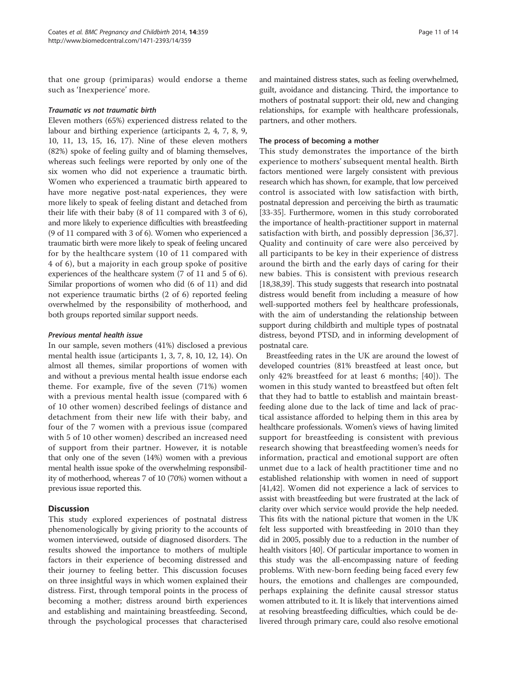that one group (primiparas) would endorse a theme such as 'Inexperience' more.

#### Traumatic vs not traumatic birth

Eleven mothers (65%) experienced distress related to the labour and birthing experience (articipants 2, 4, 7, 8, 9, 10, 11, 13, 15, 16, 17). Nine of these eleven mothers (82%) spoke of feeling guilty and of blaming themselves, whereas such feelings were reported by only one of the six women who did not experience a traumatic birth. Women who experienced a traumatic birth appeared to have more negative post-natal experiences, they were more likely to speak of feeling distant and detached from their life with their baby (8 of 11 compared with 3 of 6), and more likely to experience difficulties with breastfeeding (9 of 11 compared with 3 of 6). Women who experienced a traumatic birth were more likely to speak of feeling uncared for by the healthcare system (10 of 11 compared with 4 of 6), but a majority in each group spoke of positive experiences of the healthcare system (7 of 11 and 5 of 6). Similar proportions of women who did (6 of 11) and did not experience traumatic births (2 of 6) reported feeling overwhelmed by the responsibility of motherhood, and both groups reported similar support needs.

#### Previous mental health issue

In our sample, seven mothers (41%) disclosed a previous mental health issue (articipants 1, 3, 7, 8, 10, 12, 14). On almost all themes, similar proportions of women with and without a previous mental health issue endorse each theme. For example, five of the seven (71%) women with a previous mental health issue (compared with 6 of 10 other women) described feelings of distance and detachment from their new life with their baby, and four of the 7 women with a previous issue (compared with 5 of 10 other women) described an increased need of support from their partner. However, it is notable that only one of the seven (14%) women with a previous mental health issue spoke of the overwhelming responsibility of motherhood, whereas 7 of 10 (70%) women without a previous issue reported this.

#### **Discussion**

This study explored experiences of postnatal distress phenomenologically by giving priority to the accounts of women interviewed, outside of diagnosed disorders. The results showed the importance to mothers of multiple factors in their experience of becoming distressed and their journey to feeling better. This discussion focuses on three insightful ways in which women explained their distress. First, through temporal points in the process of becoming a mother; distress around birth experiences and establishing and maintaining breastfeeding. Second, through the psychological processes that characterised

and maintained distress states, such as feeling overwhelmed, guilt, avoidance and distancing. Third, the importance to mothers of postnatal support: their old, new and changing relationships, for example with healthcare professionals, partners, and other mothers.

#### The process of becoming a mother

This study demonstrates the importance of the birth experience to mothers' subsequent mental health. Birth factors mentioned were largely consistent with previous research which has shown, for example, that low perceived control is associated with low satisfaction with birth, postnatal depression and perceiving the birth as traumatic [[33](#page-14-0)-[35\]](#page-14-0). Furthermore, women in this study corroborated the importance of health-practitioner support in maternal satisfaction with birth, and possibly depression [\[36,37](#page-14-0)]. Quality and continuity of care were also perceived by all participants to be key in their experience of distress around the birth and the early days of caring for their new babies. This is consistent with previous research [[18](#page-13-0),[38,39\]](#page-14-0). This study suggests that research into postnatal distress would benefit from including a measure of how well-supported mothers feel by healthcare professionals, with the aim of understanding the relationship between support during childbirth and multiple types of postnatal distress, beyond PTSD, and in informing development of postnatal care.

Breastfeeding rates in the UK are around the lowest of developed countries (81% breastfeed at least once, but only 42% breastfeed for at least 6 months; [[40\]](#page-14-0)). The women in this study wanted to breastfeed but often felt that they had to battle to establish and maintain breastfeeding alone due to the lack of time and lack of practical assistance afforded to helping them in this area by healthcare professionals. Women's views of having limited support for breastfeeding is consistent with previous research showing that breastfeeding women's needs for information, practical and emotional support are often unmet due to a lack of health practitioner time and no established relationship with women in need of support [[41](#page-14-0),[42](#page-14-0)]. Women did not experience a lack of services to assist with breastfeeding but were frustrated at the lack of clarity over which service would provide the help needed. This fits with the national picture that women in the UK felt less supported with breastfeeding in 2010 than they did in 2005, possibly due to a reduction in the number of health visitors [[40](#page-14-0)]. Of particular importance to women in this study was the all-encompassing nature of feeding problems. With new-born feeding being faced every few hours, the emotions and challenges are compounded, perhaps explaining the definite causal stressor status women attributed to it. It is likely that interventions aimed at resolving breastfeeding difficulties, which could be delivered through primary care, could also resolve emotional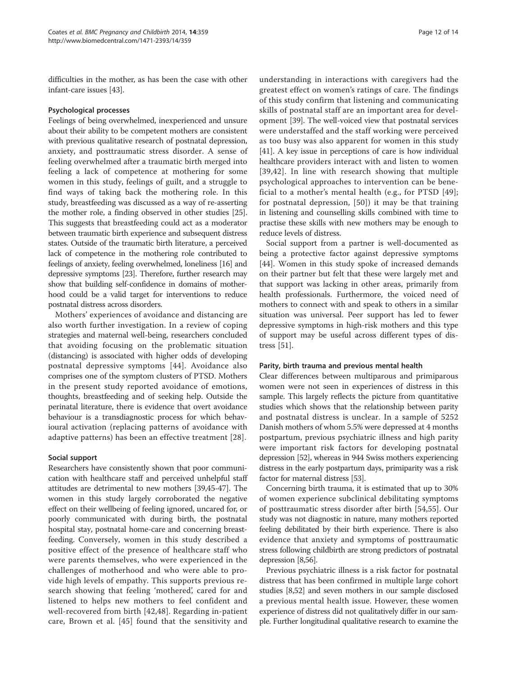difficulties in the mother, as has been the case with other infant-care issues [\[43\]](#page-14-0).

#### Psychological processes

Feelings of being overwhelmed, inexperienced and unsure about their ability to be competent mothers are consistent with previous qualitative research of postnatal depression, anxiety, and posttraumatic stress disorder. A sense of feeling overwhelmed after a traumatic birth merged into feeling a lack of competence at mothering for some women in this study, feelings of guilt, and a struggle to find ways of taking back the mothering role. In this study, breastfeeding was discussed as a way of re-asserting the mother role, a finding observed in other studies [[25](#page-14-0)]. This suggests that breastfeeding could act as a moderator between traumatic birth experience and subsequent distress states. Outside of the traumatic birth literature, a perceived lack of competence in the mothering role contributed to feelings of anxiety, feeling overwhelmed, loneliness [[16](#page-13-0)] and depressive symptoms [\[23\]](#page-14-0). Therefore, further research may show that building self-confidence in domains of motherhood could be a valid target for interventions to reduce postnatal distress across disorders.

Mothers' experiences of avoidance and distancing are also worth further investigation. In a review of coping strategies and maternal well-being, researchers concluded that avoiding focusing on the problematic situation (distancing) is associated with higher odds of developing postnatal depressive symptoms [[44](#page-14-0)]. Avoidance also comprises one of the symptom clusters of PTSD. Mothers in the present study reported avoidance of emotions, thoughts, breastfeeding and of seeking help. Outside the perinatal literature, there is evidence that overt avoidance behaviour is a transdiagnostic process for which behavioural activation (replacing patterns of avoidance with adaptive patterns) has been an effective treatment [[28\]](#page-14-0).

#### Social support

Researchers have consistently shown that poor communication with healthcare staff and perceived unhelpful staff attitudes are detrimental to new mothers [\[39,45-47\]](#page-14-0). The women in this study largely corroborated the negative effect on their wellbeing of feeling ignored, uncared for, or poorly communicated with during birth, the postnatal hospital stay, postnatal home-care and concerning breastfeeding. Conversely, women in this study described a positive effect of the presence of healthcare staff who were parents themselves, who were experienced in the challenges of motherhood and who were able to provide high levels of empathy. This supports previous research showing that feeling 'mothered', cared for and listened to helps new mothers to feel confident and well-recovered from birth [[42](#page-14-0),[48\]](#page-14-0). Regarding in-patient care, Brown et al. [[45\]](#page-14-0) found that the sensitivity and

understanding in interactions with caregivers had the greatest effect on women's ratings of care. The findings of this study confirm that listening and communicating skills of postnatal staff are an important area for development [\[39](#page-14-0)]. The well-voiced view that postnatal services were understaffed and the staff working were perceived as too busy was also apparent for women in this study [[41](#page-14-0)]. A key issue in perceptions of care is how individual healthcare providers interact with and listen to women [[39](#page-14-0),[42\]](#page-14-0). In line with research showing that multiple psychological approaches to intervention can be beneficial to a mother's mental health (e.g., for PTSD [[49](#page-14-0)]; for postnatal depression, [[50\]](#page-14-0)) it may be that training in listening and counselling skills combined with time to practise these skills with new mothers may be enough to reduce levels of distress.

Social support from a partner is well-documented as being a protective factor against depressive symptoms [[44\]](#page-14-0). Women in this study spoke of increased demands on their partner but felt that these were largely met and that support was lacking in other areas, primarily from health professionals. Furthermore, the voiced need of mothers to connect with and speak to others in a similar situation was universal. Peer support has led to fewer depressive symptoms in high-risk mothers and this type of support may be useful across different types of distress [[51](#page-14-0)].

#### Parity, birth trauma and previous mental health

Clear differences between multiparous and primiparous women were not seen in experiences of distress in this sample. This largely reflects the picture from quantitative studies which shows that the relationship between parity and postnatal distress is unclear. In a sample of 5252 Danish mothers of whom 5.5% were depressed at 4 months postpartum, previous psychiatric illness and high parity were important risk factors for developing postnatal depression [\[52](#page-14-0)], whereas in 944 Swiss mothers experiencing distress in the early postpartum days, primiparity was a risk factor for maternal distress [\[53\]](#page-14-0).

Concerning birth trauma, it is estimated that up to 30% of women experience subclinical debilitating symptoms of posttraumatic stress disorder after birth [[54,55\]](#page-14-0). Our study was not diagnostic in nature, many mothers reported feeling debilitated by their birth experience. There is also evidence that anxiety and symptoms of posttraumatic stress following childbirth are strong predictors of postnatal depression [\[8,](#page-13-0)[56](#page-14-0)].

Previous psychiatric illness is a risk factor for postnatal distress that has been confirmed in multiple large cohort studies [[8,](#page-13-0)[52](#page-14-0)] and seven mothers in our sample disclosed a previous mental health issue. However, these women experience of distress did not qualitatively differ in our sample. Further longitudinal qualitative research to examine the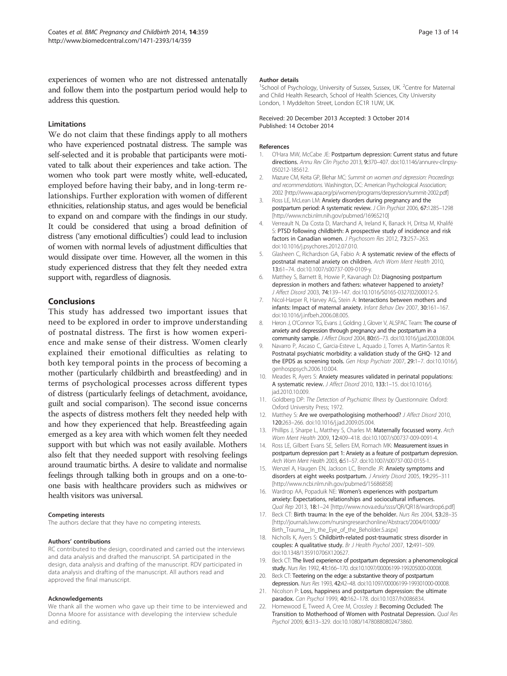<span id="page-13-0"></span>experiences of women who are not distressed antenatally and follow them into the postpartum period would help to address this question.

#### Limitations

We do not claim that these findings apply to all mothers who have experienced postnatal distress. The sample was self-selected and it is probable that participants were motivated to talk about their experiences and take action. The women who took part were mostly white, well-educated, employed before having their baby, and in long-term relationships. Further exploration with women of different ethnicities, relationship status, and ages would be beneficial to expand on and compare with the findings in our study. It could be considered that using a broad definition of distress ('any emotional difficulties') could lead to inclusion of women with normal levels of adjustment difficulties that would dissipate over time. However, all the women in this study experienced distress that they felt they needed extra support with, regardless of diagnosis.

#### Conclusions

This study has addressed two important issues that need to be explored in order to improve understanding of postnatal distress. The first is how women experience and make sense of their distress. Women clearly explained their emotional difficulties as relating to both key temporal points in the process of becoming a mother (particularly childbirth and breastfeeding) and in terms of psychological processes across different types of distress (particularly feelings of detachment, avoidance, guilt and social comparison). The second issue concerns the aspects of distress mothers felt they needed help with and how they experienced that help. Breastfeeding again emerged as a key area with which women felt they needed support with but which was not easily available. Mothers also felt that they needed support with resolving feelings around traumatic births. A desire to validate and normalise feelings through talking both in groups and on a one-toone basis with healthcare providers such as midwives or health visitors was universal.

#### Competing interests

The authors declare that they have no competing interests.

#### Authors' contributions

RC contributed to the design, coordinated and carried out the interviews and data analysis and drafted the manuscript. SA participated in the design, data analysis and drafting of the manuscript. RDV participated in data analysis and drafting of the manuscript. All authors read and approved the final manuscript.

#### Acknowledgements

We thank all the women who gave up their time to be interviewed and Donna Moore for assistance with developing the interview schedule and editing.

#### Author details

<sup>1</sup>School of Psychology, University of Sussex, Sussex, UK. <sup>2</sup>Centre for Maternal and Child Health Research, School of Health Sciences, City University London, 1 Myddelton Street, London EC1R 1UW, UK.

#### Received: 20 December 2013 Accepted: 3 October 2014 Published: 14 October 2014

#### References

- 1. O'Hara MW, McCabe JE: Postpartum depression: Current status and future directions. Annu Rev Clin Psycho 2013, 9:370-407. doi:10.1146/annurev-clinpsy-050212-185612.
- 2. Mazure CM, Keita GP, Blehar MC: Summit on women and depression: Proceedings and recommendations. Washington, DC: American Psychological Association; 2002 [\[http://www.apa.org/pi/women/programs/depression/summit-2002.pdf](http://www.apa.org/pi/women/programs/depression/summit-2002.pdf)]
- 3. Ross LE, McLean LM: Anxiety disorders during pregnancy and the postpartum period: A systematic review. J Clin Psychiat 2006, 67:1285–1298 [[http://www.ncbi.nlm.nih.gov/pubmed/16965210\]](http://www.ncbi.nlm.nih.gov/pubmed/16965210)
- 4. Verreault N, Da Costa D, Marchand A, Ireland K, Banack H, Dritsa M, Khalifé S: PTSD following childbirth: A prospective study of incidence and risk factors in Canadian women. J Psychosom Res 2012, 73:257-263. doi:10.1016/j.psychores.2012.07.010.
- 5. Glasheen C, Richardson GA, Fabio A: A systematic review of the effects of postnatal maternal anxiety on children. Arch Wom Ment Health 2010, 13:61–74. doi:10.1007/s00737-009-0109-y.
- Matthey S, Barnett B, Howie P, Kavanagh DJ: Diagnosing postpartum depression in mothers and fathers: whatever happened to anxiety? J Affect Disord 2003, 74:139–147. doi:10.1016/S0165-0327(02)00012-5.
- 7. Nicol-Harper R, Harvey AG, Stein A: Interactions between mothers and infants: Impact of maternal anxiety. Infant Behav Dev 2007, 30:161–167. doi:10.1016/j.infbeh.2006.08.005.
- 8. Heron J, O'Connor TG, Evans J, Golding J, Glover V, ALSPAC Team: The course of anxiety and depression through pregnancy and the postpartum in a community sample. J Affect Disord 2004, 80:65–73. doi:10.1016/j.jad.2003.08.004.
- 9. Navarro P, Ascaso C, Garcia-Esteve L, Aquado J, Torres A, Martin-Santos R: Postnatal psychiatric morbidity: a validation study of the GHQ- 12 and the EPDS as screening tools. Gen Hosp Psychiatr 2007, 29:1-7. doi:10.1016/j. genhosppsych.2006.10.004.
- 10. Meades R, Ayers S: Anxiety measures validated in perinatal populations: A systematic review. J Affect Disord 2010, 133:1–15. doi:10.1016/j. jad.2010.10.009.
- 11. Goldberg DP: The Detection of Psychiatric Illness by Questionnaire. Oxford: Oxford University Press; 1972.
- 12. Matthey S: Are we overpathologising motherhood? J Affect Disord 2010, 120:263–266. doi:10.1016/j.jad.2009.05.004.
- 13. Phillips J, Sharpe L, Matthey S, Charles M: Maternally focussed worry. Arch Wom Ment Health 2009, 12:409–418. doi:10.1007/s00737-009-0091-4.
- 14. Ross LE, Gilbert Evans SE, Sellers EM, Romach MK: Measurement issues in postpartum depression part 1: Anxiety as a feature of postpartum depression. Arch Wom Ment Health 2003, 6:51–57. doi:10.1007/s00737-002-0155-1.
- 15. Wenzel A, Haugen EN, Jackson LC, Brendle JR: Anxiety symptoms and disorders at eight weeks postpartum. J Anxiety Disord 2005, 19:295–311 [[http://www.ncbi.nlm.nih.gov/pubmed/15686858\]](http://www.ncbi.nlm.nih.gov/pubmed/15686858)
- 16. Wardrop AA, Popaduik NE: Women's experiences with postpartum anxiety: Expectations, relationships and sociocultural influences. Qual Rep 2013, 18:1–24 [\[http://www.nova.edu/ssss/QR/QR18/wardrop6.pdf\]](http://www.nova.edu/ssss/QR/QR18/wardrop6.pdf)
- 17. Beck CT: Birth trauma: In the eye of the beholder. Nurs Res 2004, 53:28–35 [[http://journals.lww.com/nursingresearchonline/Abstract/2004/01000/](http://journals.lww.com/nursingresearchonline/Abstract/2004/01000/Birth_Trauma__In_the_Eye_of_the_Beholder.5.aspx) [Birth\\_Trauma\\_\\_In\\_the\\_Eye\\_of\\_the\\_Beholder.5.aspx\]](http://journals.lww.com/nursingresearchonline/Abstract/2004/01000/Birth_Trauma__In_the_Eye_of_the_Beholder.5.aspx)
- 18. Nicholls K, Ayers S: Childbirth-related post-traumatic stress disorder in couples: A qualitative study. Br J Health Psychol 2007, 12:491-509. doi:10.1348/135910706X120627.
- 19. Beck CT: The lived experience of postpartum depression: a phenomenological study. Nurs Res 1992, 41:166–170. doi:10.1097/00006199-199205000-00008.
- 20. Beck CT: Teetering on the edge: a substantive theory of postpartum depression. Nurs Res 1993, 42:42–48. doi:10.1097/00006199-199301000-00008.
- 21. Nicolson P: Loss, happiness and postpartum depression: the ultimate paradox. Can Psychol 1999, 40:162–178. doi:10.1037/h0086834.
- 22. Homewood E, Tweed A, Cree M, Crossley J: Becoming Occluded: The Transition to Motherhood of Women with Postnatal Depression. Qual Res Psychol 2009, 6:313–329. doi:10.1080/14780880802473860.